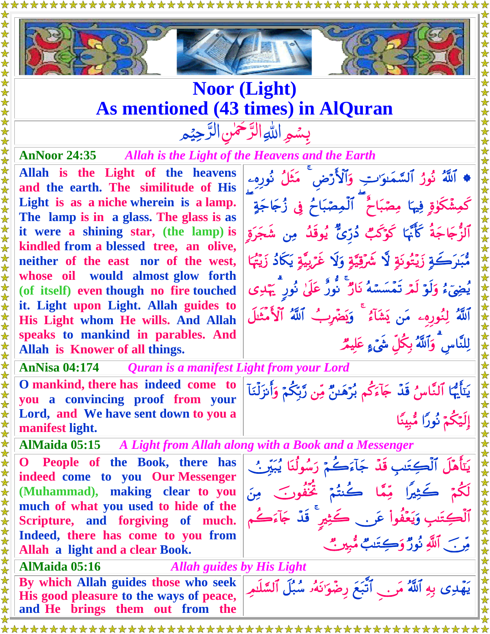

## **Noor (Light) As mentioned (43 times) in AlQuran**

بِسُمِرِ اللهِ الرَّحْمٰنِ الرَّحِيْمِ  $\tilde{a}$ رّ<br>\_  $\frac{1}{2}$ رّ<br>\_

**AnNoor 24:35** *Allah is the Light of the Heavens and the Earth*

\*\*\*\*\*\*\*\*\*\*\*

**Allah is the Light of the heavens and the earth. The similitude of His Light is as a niche wherein is a lamp. The lamp is in a glass. The glass is as it were a shining star, (the lamp) is kindled from a blessed tree, an olive, neither of the east nor of the west, whose oil would almost glow forth (of itself) even though no fire touched it. Light upon Light. Allah guides to His Light whom He wills. And Allah speaks to mankind in parables. And Allah is Knower of all things.**

**AnNisa 04:174** *Quran is a manifest Light from your Lord*

**O mankind, there has indeed come to you a convincing proof from your Lord, and We have sent down to you a manifest light.**

**AlMaida 05:15** *A Light from Allah along with a Book and a Messenger*

**O People of the Book, there has indeed come to you Our Messenger (Muhammad), making clear to you much of what you used to hide of the Scripture, and forgiving of much. Indeed, there has come to you from Allah a light and a clear Book.**

**AlMaida 05:16** *Allah guides by His Light* **By which Allah guides those who seek His good pleasure to the ways of peace, and He brings them out from the** 

\* اَللَّهُ نُورُ اَلسَّمَاوَ'تِ وَالْأَرْضِ ۖ مَثْلُ نُورِهِۦ كَمِشْكُوْةٍ فِيهَا مِصْبَاحٌ ۖ ٱلْمِصْبَاحُ ۚ فِي زُجَاجَةٍ آلزَّ جَاجَةَ كَأَنَّهَا كَوْكُبٌ ذُرِّيٌّ يُوقِلُهُ مِن شَجَرَةِ مّْبَدَكَةِ زَيّْتُونَةٍ لَا شُرِّقِيَّةٍ وَلَا غَرِّيبَّةٍ يَكَادُ زَيَّتُهَا يُضِيٍّءُ وَلَوْ لَمْ تَمْسَسْهُ نَارٌ ۖ نُورٌ عَلَىٰ نُورٍ ۗ يَهْدِي ٱللَّهُ لِنُورِهِۦ مَن يَشَأَءُ ۖ وَيَضَّربُ ٱللَّهُ ٱلْأَمْثَلُ لِلنَّاس وَٱللَّهُ بِكُلِّ شَيْءٍ عَلَيْمٌ

\*\*\*\*\*\*\*\*\*\*\*\*\*\*

يَتَأَيُّهَا ٱلنَّاسِ ۚ قُدٍّ جَآءَكُم بُرَّهَبٌ مِّن رَّبِّكُمْ وَأَنزَلْنَآ إِلَيْكُمْ نُورًا مُّبِينًا

يَتَأَهَّلُ الْكِتَسِ قُدَّ جَأْءَكُمْ رَسُولُنَا يُبَيِّرُ ﴾ لِكُمْ كَثِيرًا مِّمَّا كَنتُمْ تَحْفُونَ مِنَ أَلْكِتَيْبِ وَيَعْفُواْ عَرِ . حَكِثِيرٍ قُدْ جَأْءَكُم

يَهْدِي بِهِ ٱللَّهُ مَرِ . ﴾ أَتَبَعَ رِضَوَ'نَهُۥ سُبُلَ ٱلسَّلْىمِ

مِّن جَبَّ اللَّهِ نُورٌ وَكِتَنَبٌ مُّبِينٌ مُّ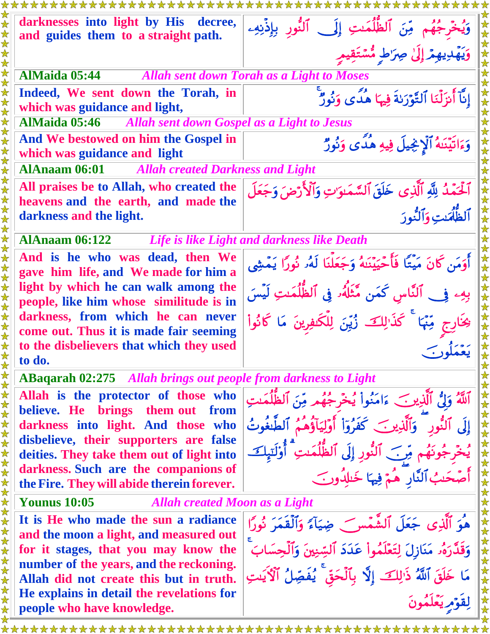| darknesses into light by His<br>decree,<br>and guides them to a straight path.  | وَيُخْرِجُهُم مِّنَ ٱلظُّلُمَـٰتِ إِلَى ٱلنُّورِ بِإِذْنِهِـ              |
|---------------------------------------------------------------------------------|---------------------------------------------------------------------------|
|                                                                                 | وَيَهْدِيهِمْ إِلَىٰ صِرَاطٍ مُّسْتَقِيمٍ                                 |
| <b>AlMaida 05:44</b>                                                            | <b>Allah sent down Torah as a Light to Moses</b>                          |
| Indeed, We sent down the Torah, in                                              | إِنَّآ أَنزَلْنَا ٱلتَّوۡرَىٰةَ فِيهَا هُدًى وَنُورٌ                      |
| which was guidance and light,                                                   |                                                                           |
| <b>AlMaida 05:46</b> Allah sent down Gospel as a Light to Jesus                 |                                                                           |
| And We bestowed on him the Gospel in<br>which was guidance and light            | وَءَاتَيْنَهُ ٱلْإِنْجِيلَ فِيهِ هُدًى وَنُورٌ                            |
| <b>AlAnaam 06:01</b><br><b>Allah created Darkness and Light</b>                 |                                                                           |
| All praises be to Allah, who created the                                        | ٱلۡحَمۡدُ لِلَّهِ ٱلَّذِى خَلَقَ ٱلسَّمَـٰوَاتِ وَٱلۡأَرۡضَ وَجَعَلَ      |
| heavens and the earth, and made the                                             |                                                                           |
| darkness and the light.                                                         | ألظُّلُمَت وَألنُّودَ                                                     |
| <b>AlAnaam 06:122</b><br>Life is like Light and darkness like Death             |                                                                           |
| And is he who was dead, then We                                                 | أَوَمَن كَانَ مَيْتًا فَأَحْيَيْنَهُ وَجَعَلْنَا لَهُۥ نُورًا يَمْشِي     |
| gave him life, and We made for him a                                            |                                                                           |
| light by which he can walk among the<br>people, like him whose similitude is in | بِهِۦ فِي ٱلنَّاسِ كَمَن مَّتَلَّهُۥ فِي ٱلظُّلُمَـٰتِ لَيۡسَ             |
| darkness, from which he can never                                               |                                                                           |
| come out. Thus it is made fair seeming                                          | ىِخَارِج مِّنْهَا ۚ كَذَالِكَ زُيِّنَ لِلْكَشِرِينَ مَا كَانُواْ          |
| to the disbelievers that which they used                                        |                                                                           |
| to do.                                                                          |                                                                           |
| <b>ABaqarah 02:275</b> Allah brings out people from darkness to Light           |                                                                           |
| Allah is the protector of those who                                             | ٱللَّهُ وَلَى ٱلَّذِينَ ءَامَنُواْ يُخْرِجُهُمْ مِّنَ ٱلظُّلُمَٰتِ        |
| believe. He brings<br>them out<br>from                                          |                                                                           |
| darkness into light. And those who<br>disbelieve, their supporters are false    | إِلَى ٱلنُّورِ ۚ وَٱلَّذِينَ كَفَرُوٓاْ أَوَلِيَآؤُهُمُ ٱلطَّنِغُوتُ      |
| deities. They take them out of light into                                       | نِهُم مِّنَ ٱلنُّورِ إِلَى ٱلظُّلُمَىتِ ۗ أُوْلَتِهِكَ                    |
| darkness. Such are the companions of                                            | أَصْحَبُ ٱلنَّارِ ۖ هُمْ فِيهَا خَلِلُهُونَ                               |
| the Fire. They will abide therein forever.                                      |                                                                           |
| <b>Younus 10:05</b><br><b>Allah created Moon as a Light</b>                     |                                                                           |
| It is He who made the sun a radiance                                            | هُوَ ٱلَّذِي جَعَلَ ٱلشَّمْسِرَ ۖ ضِيَآءً وَٱلْقَمَرَ نُورًا              |
| and the moon a light, and measured out                                          |                                                                           |
| for it stages, that you may know the<br>number of the years, and the reckoning. | وَقَدَّرَهُۥ مَنَازِلَ لِتَعَلَّمُواْ عَدَدَ ٱلسِّنِينَ وَٱلْحِسَابَ      |
| Allah did not create this but in truth.                                         | مَا خَلَقَ ٱللَّهُ ذَٰٰٓ لِكَ ۚ إِلَّا بِٱلۡحَقِّ ۚ يُفَصِّلُ ٱلۡآَٰ يَسَ |
| He explains in detail the revelations for                                       |                                                                           |
| people who have knowledge.                                                      | لِقَوْمِ يَعْلَمُونَ                                                      |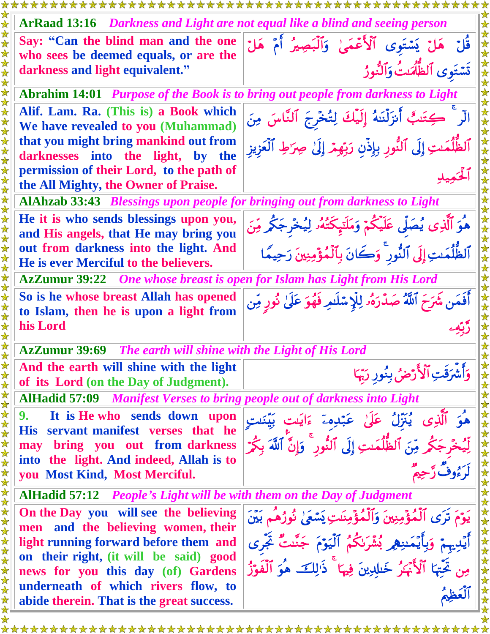| xxxxxxxxxxxxxxxxxxxxxx<br><i><b>xxxxxxxxxxxxxxxxxxxxxx</b></i>                         |                                                                              |
|----------------------------------------------------------------------------------------|------------------------------------------------------------------------------|
| <b>ArRaad 13:16</b> Darkness and Light are not equal like a blind and seeing person    |                                                                              |
| Say: "Can the blind man and the one                                                    | قُلْ هَلْ يَسْتَوِى ٱلْأَعْمَىٰ وَٱلْبَصِيرُ أَمْ هَلْ                       |
| who sees be deemed equals, or are the                                                  |                                                                              |
| darkness and light equivalent."                                                        | تَسْتَوى ٱلظُّلُّمَٰتُ وَٱلنُّورُ                                            |
| <b>Abrahim 14:01</b> Purpose of the Book is to bring out people from darkness to Light |                                                                              |
| Alif. Lam. Ra. (This is) a Book which                                                  | الْر ۚ كِتَنبٌ أَنزَلْنَهُ إِلَيْكَ لِتُخْرِجَ ٱلنَّاسَ مِنَ                 |
| We have revealed to you (Muhammad)                                                     |                                                                              |
| that you might bring mankind out from                                                  | ٱلظُّٰٰٓلُمَـٰتِ إِلَى ٱلنُّورِ بِإِذۡنِ رَبِّهِمۡ إِلَىٰ صِرَٰطِ ٱلۡعَزِيزِ |
| darknesses into the light, by the                                                      |                                                                              |
| permission of their Lord, to the path of                                               |                                                                              |
| the All Mighty, the Owner of Praise.                                                   |                                                                              |
| <b>AlAhzab 33:43</b> Blessings upon people for bringing out from darkness to Light     |                                                                              |
| He it is who sends blessings upon you,                                                 | هُوَ ٱلَّذِى يُصَلَّى عَلَيْكُمْ وَمَلَنَبِكَتُهُۥ لِيُخْرِجَكُمْ مِّنَ      |
| and His angels, that He may bring you                                                  |                                                                              |
| out from darkness into the light. And                                                  | ٱلظُّلُمَٰتِ إِلَى ٱلنُّورِ ۚ وَكَانَ بِٱلْمُؤْمِنِينَ رَحِيمًا              |
| He is ever Merciful to the believers.                                                  |                                                                              |
| <b>AzZumur 39:22</b> One whose breast is open for Islam has Light from His Lord        |                                                                              |
| So is he whose breast Allah has opened                                                 | أَفَمَن شَرَحَ ٱللَّهُ صَدَّرَهُۥ لِلْإِسْلَامِ فَهُوَ عَلَىٰ نُورِ مِّن     |
| to Islam, then he is upon a light from                                                 |                                                                              |
| his Lord                                                                               |                                                                              |
| The earth will shine with the Light of His Lord                                        |                                                                              |
|                                                                                        |                                                                              |
| <b>AzZumur 39:69</b>                                                                   |                                                                              |
| And the earth will shine with the light                                                |                                                                              |
| of its Lord (on the Day of Judgment).                                                  | وَأَشْرَقَتِ ٱلْأَرْضُ بِنُورِ رَبِّهَا                                      |
| <b>AlHadid 57:09</b> Manifest Verses to bring people out of darkness into Light        |                                                                              |
| It is He who sends down upon<br>9.                                                     | هُوَ ٱلَّذِى يُنَزّلُ عَلَىٰ عَبّدِهۦٓ ءَايَت بَيّنَنتِ                      |
| servant manifest verses that he<br><b>His</b>                                          |                                                                              |
| may bring you out from darkness                                                        | لِّيُخۡرِجَكُمۡ مِّنَ ٱلظُّلُمَـٰتِ إِلَى ٱلنُّور ۚ وَإِنَّ ٱللَّهَ بِكُمۡ   |
| into the light. And indeed, Allah is to                                                |                                                                              |
| you Most Kind, Most Merciful.                                                          |                                                                              |
| <b>AlHadid 57:12</b> People's Light will be with them on the Day of Judgment           |                                                                              |
| On the Day you will see the believing                                                  |                                                                              |
| men and the believing women, their                                                     | يَوْمَ تَرَى ٱلْمُؤْمِنِينَ وَٱلْمُؤْمِنَـٰتِ يَسْعَىٰ نُورُهُم بَيْنَ       |
| light running forward before them and                                                  |                                                                              |
| on their right, (it will be said) good                                                 | أَيْدِيهِمْ وَبِأَيْمَنِهِمِ بُشْرَنكُمُ ٱلْيَوْمَ جَنَّنتُ ثَجَّرى          |
| news for you this day (of) Gardens                                                     | مِن تَحِّتٖا ٱلْأَبْمَرُ خَلِلِينَ فِيهَا ۚ ذَٰلِكَ هُوَ ٱلْفَوْزُ           |
| underneath of which rivers flow, to                                                    |                                                                              |
| abide therein. That is the great success.                                              |                                                                              |